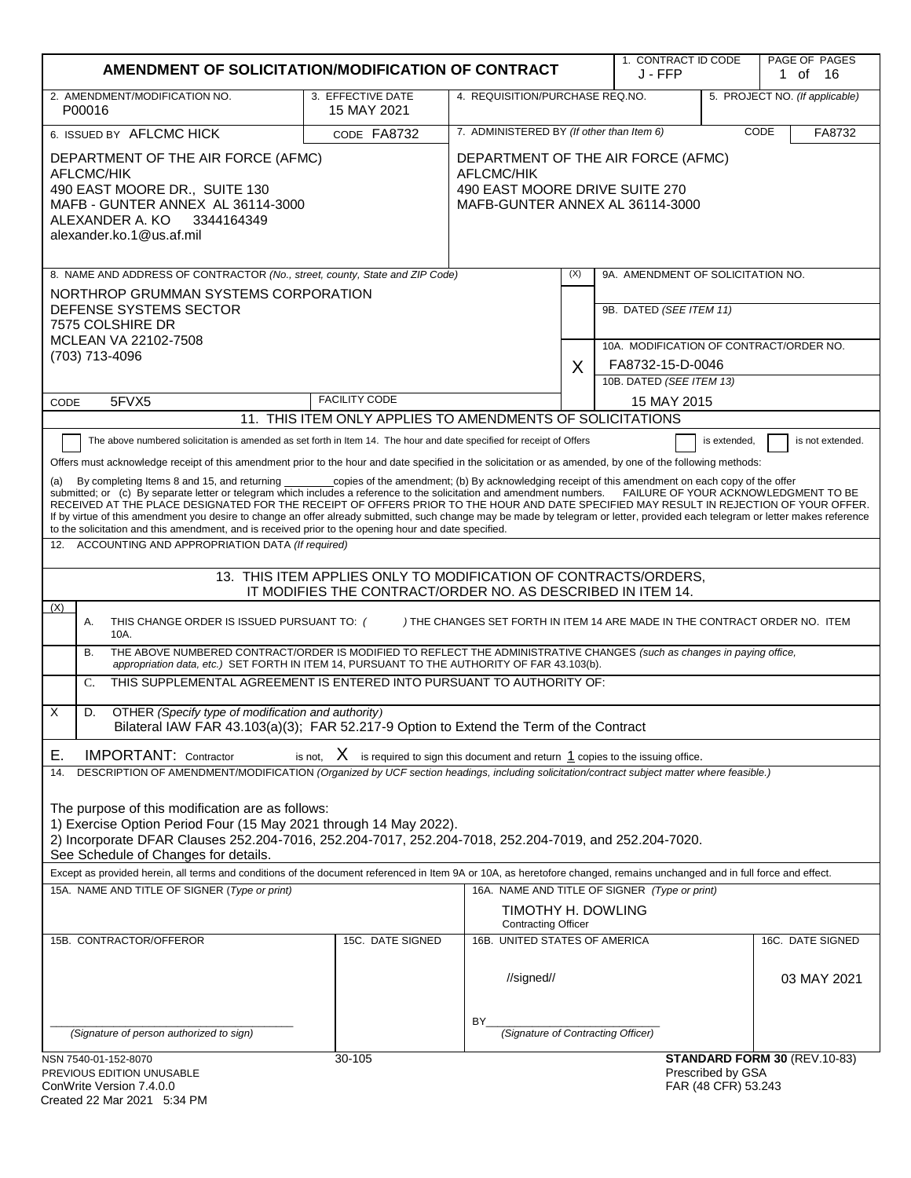| AMENDMENT OF SOLICITATION/MODIFICATION OF CONTRACT                                                                                                                                                                                                                                                                                                                                                                                                                                                                                                                                                                                                                                                                                                                                                                                                                                                                                                                                                                                                                                                                                                                                                                                                                                                                                                                                                                                                                                                                                                                                                                                                                                                                                                                                                                                                                                                                                                                                                                                                                                                                                                                              |                                                                                                                       |                                                                   |     | 1. CONTRACT ID CODE<br>J - FFP          |                                          | PAGE OF PAGES<br>1 of 16     |
|---------------------------------------------------------------------------------------------------------------------------------------------------------------------------------------------------------------------------------------------------------------------------------------------------------------------------------------------------------------------------------------------------------------------------------------------------------------------------------------------------------------------------------------------------------------------------------------------------------------------------------------------------------------------------------------------------------------------------------------------------------------------------------------------------------------------------------------------------------------------------------------------------------------------------------------------------------------------------------------------------------------------------------------------------------------------------------------------------------------------------------------------------------------------------------------------------------------------------------------------------------------------------------------------------------------------------------------------------------------------------------------------------------------------------------------------------------------------------------------------------------------------------------------------------------------------------------------------------------------------------------------------------------------------------------------------------------------------------------------------------------------------------------------------------------------------------------------------------------------------------------------------------------------------------------------------------------------------------------------------------------------------------------------------------------------------------------------------------------------------------------------------------------------------------------|-----------------------------------------------------------------------------------------------------------------------|-------------------------------------------------------------------|-----|-----------------------------------------|------------------------------------------|------------------------------|
| 2. AMENDMENT/MODIFICATION NO.<br>P00016                                                                                                                                                                                                                                                                                                                                                                                                                                                                                                                                                                                                                                                                                                                                                                                                                                                                                                                                                                                                                                                                                                                                                                                                                                                                                                                                                                                                                                                                                                                                                                                                                                                                                                                                                                                                                                                                                                                                                                                                                                                                                                                                         | 3. EFFECTIVE DATE<br>15 MAY 2021                                                                                      | 4. REQUISITION/PURCHASE REQ.NO.<br>5. PROJECT NO. (If applicable) |     |                                         |                                          |                              |
| 6. ISSUED BY AFLCMC HICK                                                                                                                                                                                                                                                                                                                                                                                                                                                                                                                                                                                                                                                                                                                                                                                                                                                                                                                                                                                                                                                                                                                                                                                                                                                                                                                                                                                                                                                                                                                                                                                                                                                                                                                                                                                                                                                                                                                                                                                                                                                                                                                                                        | CODE FA8732                                                                                                           | 7. ADMINISTERED BY (If other than Item 6)<br>CODE                 |     |                                         | FA8732                                   |                              |
| DEPARTMENT OF THE AIR FORCE (AFMC)<br>AFLCMC/HIK<br>490 EAST MOORE DR., SUITE 130<br>MAFB - GUNTER ANNEX AL 36114-3000<br>ALEXANDER A. KO<br>3344164349<br>alexander.ko.1@us.af.mil                                                                                                                                                                                                                                                                                                                                                                                                                                                                                                                                                                                                                                                                                                                                                                                                                                                                                                                                                                                                                                                                                                                                                                                                                                                                                                                                                                                                                                                                                                                                                                                                                                                                                                                                                                                                                                                                                                                                                                                             | DEPARTMENT OF THE AIR FORCE (AFMC)<br>AFLCMC/HIK<br>490 EAST MOORE DRIVE SUITE 270<br>MAFB-GUNTER ANNEX AL 36114-3000 |                                                                   |     |                                         |                                          |                              |
| 8. NAME AND ADDRESS OF CONTRACTOR (No., street, county, State and ZIP Code)                                                                                                                                                                                                                                                                                                                                                                                                                                                                                                                                                                                                                                                                                                                                                                                                                                                                                                                                                                                                                                                                                                                                                                                                                                                                                                                                                                                                                                                                                                                                                                                                                                                                                                                                                                                                                                                                                                                                                                                                                                                                                                     |                                                                                                                       |                                                                   | (X) | 9A. AMENDMENT OF SOLICITATION NO.       |                                          |                              |
| NORTHROP GRUMMAN SYSTEMS CORPORATION<br>DEFENSE SYSTEMS SECTOR<br>7575 COLSHIRE DR                                                                                                                                                                                                                                                                                                                                                                                                                                                                                                                                                                                                                                                                                                                                                                                                                                                                                                                                                                                                                                                                                                                                                                                                                                                                                                                                                                                                                                                                                                                                                                                                                                                                                                                                                                                                                                                                                                                                                                                                                                                                                              |                                                                                                                       |                                                                   |     | 9B. DATED (SEE ITEM 11)                 |                                          |                              |
| MCLEAN VA 22102-7508<br>(703) 713-4096                                                                                                                                                                                                                                                                                                                                                                                                                                                                                                                                                                                                                                                                                                                                                                                                                                                                                                                                                                                                                                                                                                                                                                                                                                                                                                                                                                                                                                                                                                                                                                                                                                                                                                                                                                                                                                                                                                                                                                                                                                                                                                                                          |                                                                                                                       |                                                                   |     | 10A. MODIFICATION OF CONTRACT/ORDER NO. |                                          |                              |
|                                                                                                                                                                                                                                                                                                                                                                                                                                                                                                                                                                                                                                                                                                                                                                                                                                                                                                                                                                                                                                                                                                                                                                                                                                                                                                                                                                                                                                                                                                                                                                                                                                                                                                                                                                                                                                                                                                                                                                                                                                                                                                                                                                                 |                                                                                                                       |                                                                   | X   | FA8732-15-D-0046                        |                                          |                              |
|                                                                                                                                                                                                                                                                                                                                                                                                                                                                                                                                                                                                                                                                                                                                                                                                                                                                                                                                                                                                                                                                                                                                                                                                                                                                                                                                                                                                                                                                                                                                                                                                                                                                                                                                                                                                                                                                                                                                                                                                                                                                                                                                                                                 | <b>FACILITY CODE</b>                                                                                                  |                                                                   |     | 10B. DATED (SEE ITEM 13)                |                                          |                              |
| 5FVX5<br>CODE                                                                                                                                                                                                                                                                                                                                                                                                                                                                                                                                                                                                                                                                                                                                                                                                                                                                                                                                                                                                                                                                                                                                                                                                                                                                                                                                                                                                                                                                                                                                                                                                                                                                                                                                                                                                                                                                                                                                                                                                                                                                                                                                                                   | 11. THIS ITEM ONLY APPLIES TO AMENDMENTS OF SOLICITATIONS                                                             |                                                                   |     | 15 MAY 2015                             |                                          |                              |
| The above numbered solicitation is amended as set forth in Item 14. The hour and date specified for receipt of Offers                                                                                                                                                                                                                                                                                                                                                                                                                                                                                                                                                                                                                                                                                                                                                                                                                                                                                                                                                                                                                                                                                                                                                                                                                                                                                                                                                                                                                                                                                                                                                                                                                                                                                                                                                                                                                                                                                                                                                                                                                                                           |                                                                                                                       |                                                                   |     |                                         | is extended,                             | is not extended.             |
| Offers must acknowledge receipt of this amendment prior to the hour and date specified in the solicitation or as amended, by one of the following methods:<br>_copies of the amendment; (b) By acknowledging receipt of this amendment on each copy of the offer<br>By completing Items 8 and 15, and returning<br>(a)<br>submitted; or (c) By separate letter or telegram which includes a reference to the solicitation and amendment numbers. FAILURE OF YOUR ACKNOWLEDGMENT TO BE<br>RECEIVED AT THE PLACE DESIGNATED FOR THE RECEIPT OF OFFERS PRIOR TO THE HOUR AND DATE SPECIFIED MAY RESULT IN REJECTION OF YOUR OFFER.<br>If by virtue of this amendment you desire to change an offer already submitted, such change may be made by telegram or letter, provided each telegram or letter makes reference<br>to the solicitation and this amendment, and is received prior to the opening hour and date specified.<br>ACCOUNTING AND APPROPRIATION DATA (If required)<br>12.<br>13. THIS ITEM APPLIES ONLY TO MODIFICATION OF CONTRACTS/ORDERS,<br>IT MODIFIES THE CONTRACT/ORDER NO. AS DESCRIBED IN ITEM 14.<br>(X)<br>Α.<br>THIS CHANGE ORDER IS ISSUED PURSUANT TO: (<br>) THE CHANGES SET FORTH IN ITEM 14 ARE MADE IN THE CONTRACT ORDER NO. ITEM<br>10A.<br>THE ABOVE NUMBERED CONTRACT/ORDER IS MODIFIED TO REFLECT THE ADMINISTRATIVE CHANGES (such as changes in paying office,<br>В.<br>appropriation data, etc.) SET FORTH IN ITEM 14, PURSUANT TO THE AUTHORITY OF FAR 43.103(b).<br>THIS SUPPLEMENTAL AGREEMENT IS ENTERED INTO PURSUANT TO AUTHORITY OF:<br>$\mathcal{C}$ .<br>X<br>D.<br>OTHER (Specify type of modification and authority)<br>Bilateral IAW FAR 43.103(a)(3); FAR 52.217-9 Option to Extend the Term of the Contract<br><b>IMPORTANT: Contractor</b><br>is not, $X$ is required to sign this document and return $1$ copies to the issuing office.<br>Е.<br>DESCRIPTION OF AMENDMENT/MODIFICATION (Organized by UCF section headings, including solicitation/contract subject matter where feasible.)<br>14.<br>The purpose of this modification are as follows:<br>1) Exercise Option Period Four (15 May 2021 through 14 May 2022). |                                                                                                                       |                                                                   |     |                                         |                                          |                              |
| See Schedule of Changes for details.                                                                                                                                                                                                                                                                                                                                                                                                                                                                                                                                                                                                                                                                                                                                                                                                                                                                                                                                                                                                                                                                                                                                                                                                                                                                                                                                                                                                                                                                                                                                                                                                                                                                                                                                                                                                                                                                                                                                                                                                                                                                                                                                            |                                                                                                                       |                                                                   |     |                                         |                                          |                              |
| Except as provided herein, all terms and conditions of the document referenced in Item 9A or 10A, as heretofore changed, remains unchanged and in full force and effect.<br>15A. NAME AND TITLE OF SIGNER (Type or print)                                                                                                                                                                                                                                                                                                                                                                                                                                                                                                                                                                                                                                                                                                                                                                                                                                                                                                                                                                                                                                                                                                                                                                                                                                                                                                                                                                                                                                                                                                                                                                                                                                                                                                                                                                                                                                                                                                                                                       |                                                                                                                       |                                                                   |     |                                         |                                          |                              |
| 16A. NAME AND TITLE OF SIGNER (Type or print)<br>TIMOTHY H. DOWLING<br><b>Contracting Officer</b>                                                                                                                                                                                                                                                                                                                                                                                                                                                                                                                                                                                                                                                                                                                                                                                                                                                                                                                                                                                                                                                                                                                                                                                                                                                                                                                                                                                                                                                                                                                                                                                                                                                                                                                                                                                                                                                                                                                                                                                                                                                                               |                                                                                                                       |                                                                   |     |                                         |                                          |                              |
| 15B. CONTRACTOR/OFFEROR                                                                                                                                                                                                                                                                                                                                                                                                                                                                                                                                                                                                                                                                                                                                                                                                                                                                                                                                                                                                                                                                                                                                                                                                                                                                                                                                                                                                                                                                                                                                                                                                                                                                                                                                                                                                                                                                                                                                                                                                                                                                                                                                                         | 15C. DATE SIGNED                                                                                                      | 16B. UNITED STATES OF AMERICA                                     |     |                                         |                                          | 16C. DATE SIGNED             |
| (Signature of person authorized to sign)                                                                                                                                                                                                                                                                                                                                                                                                                                                                                                                                                                                                                                                                                                                                                                                                                                                                                                                                                                                                                                                                                                                                                                                                                                                                                                                                                                                                                                                                                                                                                                                                                                                                                                                                                                                                                                                                                                                                                                                                                                                                                                                                        |                                                                                                                       | //signed//<br>BY<br>(Signature of Contracting Officer)            |     |                                         |                                          | 03 MAY 2021                  |
| NSN 7540-01-152-8070                                                                                                                                                                                                                                                                                                                                                                                                                                                                                                                                                                                                                                                                                                                                                                                                                                                                                                                                                                                                                                                                                                                                                                                                                                                                                                                                                                                                                                                                                                                                                                                                                                                                                                                                                                                                                                                                                                                                                                                                                                                                                                                                                            | 30-105                                                                                                                |                                                                   |     |                                         |                                          | STANDARD FORM 30 (REV.10-83) |
| PREVIOUS EDITION UNUSABLE<br>ConWrite Version 7.4.0.0<br>Created 22 Mar 2021 5:34 PM                                                                                                                                                                                                                                                                                                                                                                                                                                                                                                                                                                                                                                                                                                                                                                                                                                                                                                                                                                                                                                                                                                                                                                                                                                                                                                                                                                                                                                                                                                                                                                                                                                                                                                                                                                                                                                                                                                                                                                                                                                                                                            |                                                                                                                       |                                                                   |     |                                         | Prescribed by GSA<br>FAR (48 CFR) 53.243 |                              |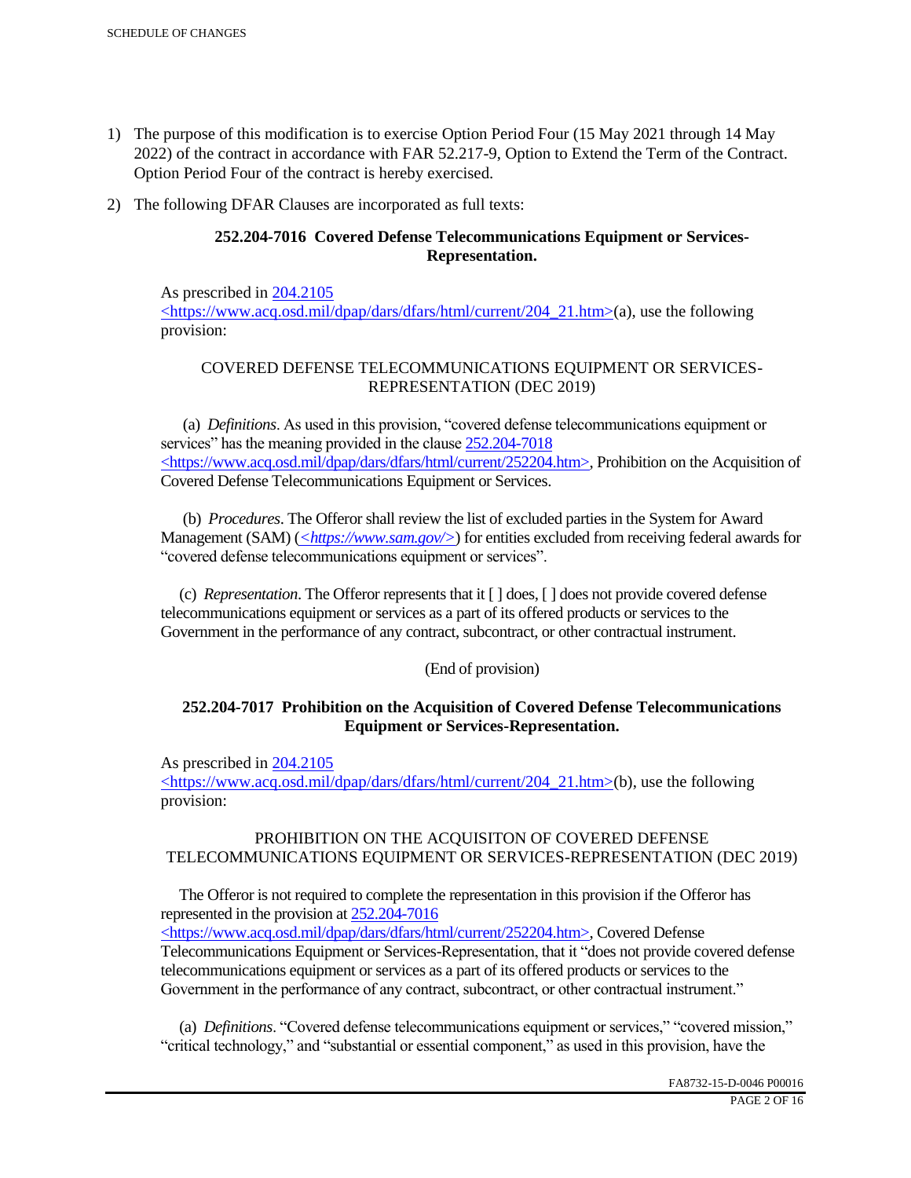- 1) The purpose of this modification is to exercise Option Period Four (15 May 2021 through 14 May 2022) of the contract in accordance with FAR 52.217-9, Option to Extend the Term of the Contract. Option Period Four of the contract is hereby exercised.
- 2) The following DFAR Clauses are incorporated as full texts:

# **252.204-7016 Covered Defense Telecommunications Equipment or Services-Representation.**

As prescribed in 204.2105 <https://www.acq.osd.mil/dpap/dars/dfars/html/current/204\_21.htm>(a), use the following provision:

# COVERED DEFENSE TELECOMMUNICATIONS EQUIPMENT OR SERVICES-REPRESENTATION (DEC 2019)

 (a) *Definitions*. As used in this provision, "covered defense telecommunications equipment or services" has the meaning provided in the clause  $252.204 - 7018$ <https://www.acq.osd.mil/dpap/dars/dfars/html/current/252204.htm>, Prohibition on the Acquisition of Covered Defense Telecommunications Equipment or Services.

 (b) *Procedures*. The Offeror shall review the list of excluded parties in the System for Award Management (SAM) (*<https://www.sam.gov/>*) for entities excluded from receiving federal awards for "covered defense telecommunications equipment or services".

 (c) *Representation*. The Offeror represents that it [ ] does, [ ] does not provide covered defense telecommunications equipment or services as a part of its offered products or services to the Government in the performance of any contract, subcontract, or other contractual instrument.

## (End of provision)

## **252.204-7017 Prohibition on the Acquisition of Covered Defense Telecommunications Equipment or Services-Representation.**

As prescribed in 204.2105

<https://www.acq.osd.mil/dpap/dars/dfars/html/current/204\_21.htm>(b), use the following provision:

## PROHIBITION ON THE ACQUISITON OF COVERED DEFENSE TELECOMMUNICATIONS EQUIPMENT OR SERVICES-REPRESENTATION (DEC 2019)

 The Offeror is not required to complete the representation in this provision if the Offeror has represented in the provision at 252.204-7016

<https://www.acq.osd.mil/dpap/dars/dfars/html/current/252204.htm>, Covered Defense Telecommunications Equipment or Services-Representation, that it "does not provide covered defense telecommunications equipment or services as a part of its offered products or services to the Government in the performance of any contract, subcontract, or other contractual instrument."

 (a) *Definitions*. "Covered defense telecommunications equipment or services," "covered mission," "critical technology," and "substantial or essential component," as used in this provision, have the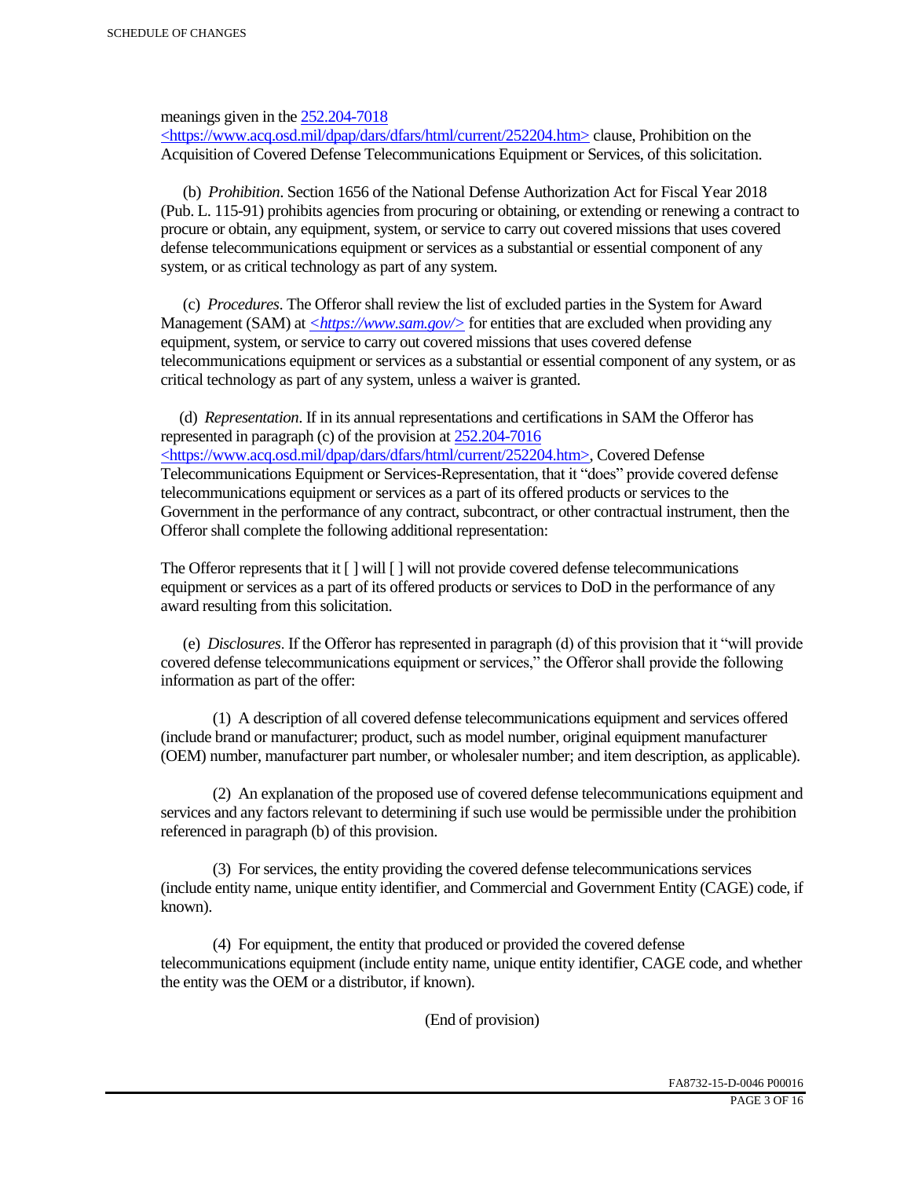meanings given in the 252.204-7018

 $\langle$ https://www.acq.osd.mil/dpap/dars/dfars/html/current/252204.htm> clause, Prohibition on the Acquisition of Covered Defense Telecommunications Equipment or Services, of this solicitation.

 (b) *Prohibition*. Section 1656 of the National Defense Authorization Act for Fiscal Year 2018 (Pub. L. 115-91) prohibits agencies from procuring or obtaining, or extending or renewing a contract to procure or obtain, any equipment, system, or service to carry out covered missions that uses covered defense telecommunications equipment or services as a substantial or essential component of any system, or as critical technology as part of any system.

 (c) *Procedures*. The Offeror shall review the list of excluded parties in the System for Award Management (SAM) at  $\leq$ https://www.sam.gov/> for entities that are excluded when providing any equipment, system, or service to carry out covered missions that uses covered defense telecommunications equipment or services as a substantial or essential component of any system, or as critical technology as part of any system, unless a waiver is granted.

 (d) *Representation*. If in its annual representations and certifications in SAM the Offeror has represented in paragraph (c) of the provision at 252.204-7016 <https://www.acq.osd.mil/dpap/dars/dfars/html/current/252204.htm>, Covered Defense Telecommunications Equipment or Services-Representation, that it "does" provide covered defense telecommunications equipment or services as a part of its offered products or services to the Government in the performance of any contract, subcontract, or other contractual instrument, then the Offeror shall complete the following additional representation:

The Offeror represents that it  $\lceil \cdot \rceil$  will  $\lceil \cdot \rceil$  will not provide covered defense telecommunications equipment or services as a part of its offered products or services to DoD in the performance of any award resulting from this solicitation.

 (e) *Disclosures*. If the Offeror has represented in paragraph (d) of this provision that it "will provide covered defense telecommunications equipment or services," the Offeror shall provide the following information as part of the offer:

 (1) A description of all covered defense telecommunications equipment and services offered (include brand or manufacturer; product, such as model number, original equipment manufacturer (OEM) number, manufacturer part number, or wholesaler number; and item description, as applicable).

 (2) An explanation of the proposed use of covered defense telecommunications equipment and services and any factors relevant to determining if such use would be permissible under the prohibition referenced in paragraph (b) of this provision.

 (3) For services, the entity providing the covered defense telecommunications services (include entity name, unique entity identifier, and Commercial and Government Entity (CAGE) code, if known).

 (4) For equipment, the entity that produced or provided the covered defense telecommunications equipment (include entity name, unique entity identifier, CAGE code, and whether the entity was the OEM or a distributor, if known).

(End of provision)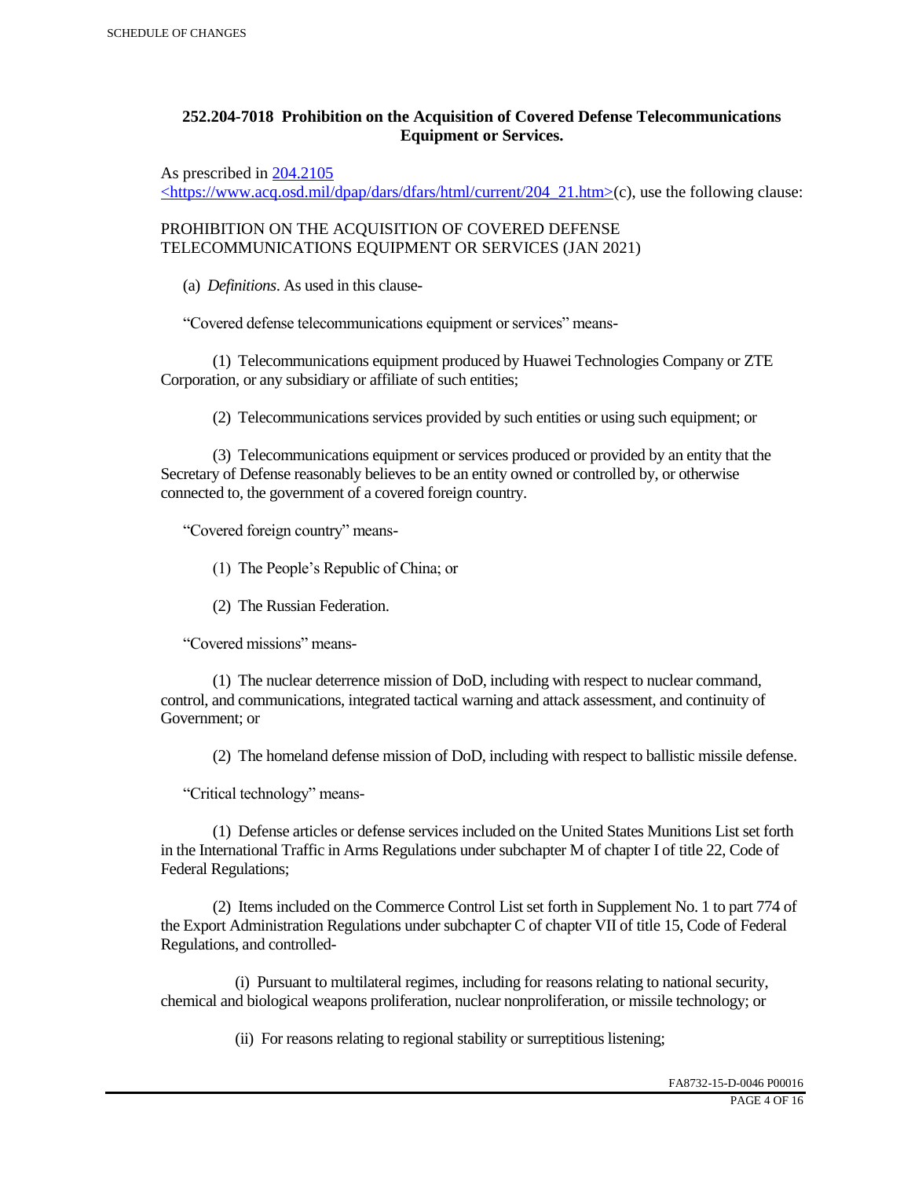# **252.204-7018 Prohibition on the Acquisition of Covered Defense Telecommunications Equipment or Services.**

As prescribed in 204.2105

 $\langle$ https://www.acq.osd.mil/dpap/dars/dfars/html/current/204\_21.htm>(c), use the following clause:

PROHIBITION ON THE ACQUISITION OF COVERED DEFENSE TELECOMMUNICATIONS EQUIPMENT OR SERVICES (JAN 2021)

(a) *Definitions*. As used in this clause-

"Covered defense telecommunications equipment or services" means-

 (1) Telecommunications equipment produced by Huawei Technologies Company or ZTE Corporation, or any subsidiary or affiliate of such entities;

(2) Telecommunications services provided by such entities or using such equipment; or

 (3) Telecommunications equipment or services produced or provided by an entity that the Secretary of Defense reasonably believes to be an entity owned or controlled by, or otherwise connected to, the government of a covered foreign country.

"Covered foreign country" means-

(1) The People's Republic of China; or

(2) The Russian Federation.

"Covered missions" means-

 (1) The nuclear deterrence mission of DoD, including with respect to nuclear command, control, and communications, integrated tactical warning and attack assessment, and continuity of Government; or

(2) The homeland defense mission of DoD, including with respect to ballistic missile defense.

"Critical technology" means-

 (1) Defense articles or defense services included on the United States Munitions List set forth in the International Traffic in Arms Regulations under subchapter M of chapter I of title 22, Code of Federal Regulations;

 (2) Items included on the Commerce Control List set forth in Supplement No. 1 to part 774 of the Export Administration Regulations under subchapter C of chapter VII of title 15, Code of Federal Regulations, and controlled-

 (i) Pursuant to multilateral regimes, including for reasons relating to national security, chemical and biological weapons proliferation, nuclear nonproliferation, or missile technology; or

(ii) For reasons relating to regional stability or surreptitious listening;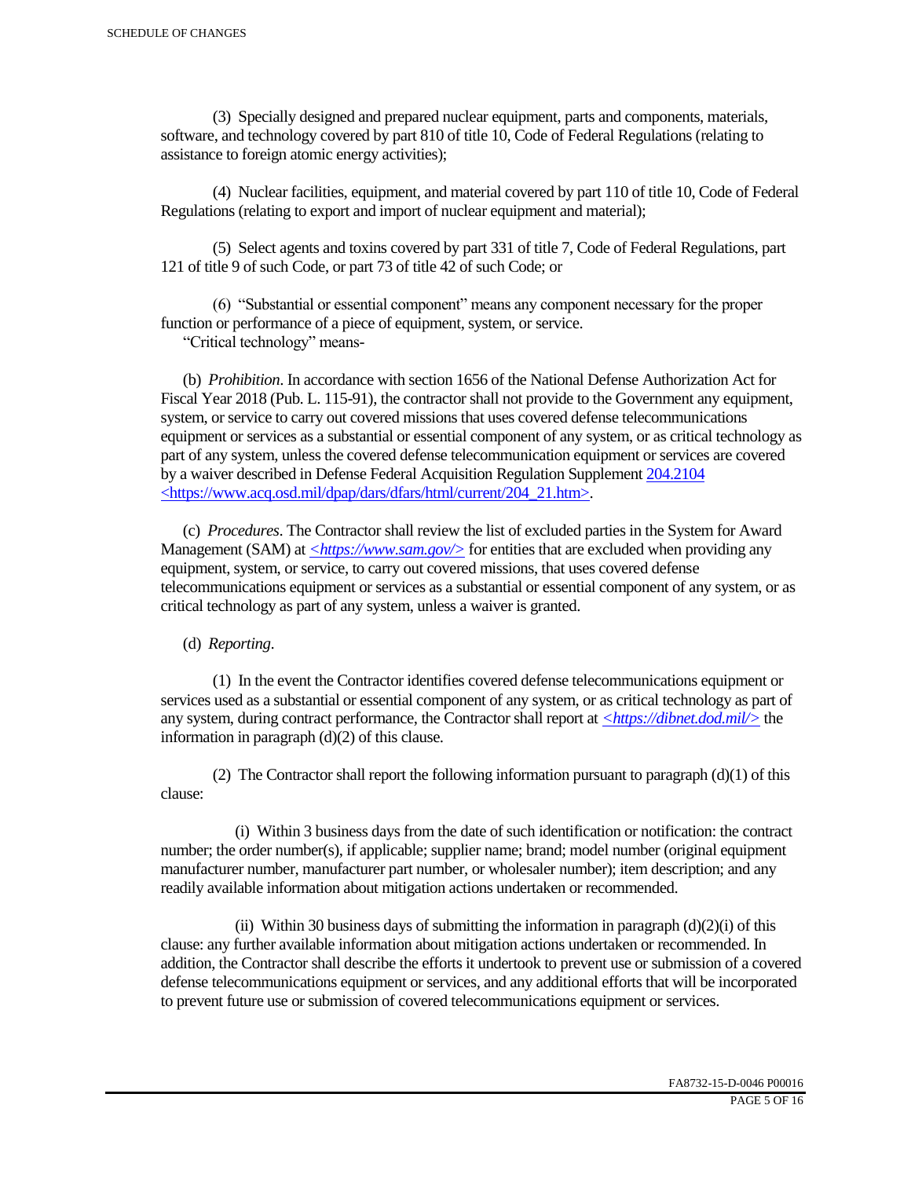(3) Specially designed and prepared nuclear equipment, parts and components, materials, software, and technology covered by part 810 of title 10, Code of Federal Regulations (relating to assistance to foreign atomic energy activities);

 (4) Nuclear facilities, equipment, and material covered by part 110 of title 10, Code of Federal Regulations (relating to export and import of nuclear equipment and material);

 (5) Select agents and toxins covered by part 331 of title 7, Code of Federal Regulations, part 121 of title 9 of such Code, or part 73 of title 42 of such Code; or

 (6) "Substantial or essential component" means any component necessary for the proper function or performance of a piece of equipment, system, or service.

"Critical technology" means-

 (b) *Prohibition*. In accordance with section 1656 of the National Defense Authorization Act for Fiscal Year 2018 (Pub. L. 115-91), the contractor shall not provide to the Government any equipment, system, or service to carry out covered missions that uses covered defense telecommunications equipment or services as a substantial or essential component of any system, or as critical technology as part of any system, unless the covered defense telecommunication equipment or services are covered by a waiver described in Defense Federal Acquisition Regulation Supplement 204.2104 <https://www.acq.osd.mil/dpap/dars/dfars/html/current/204\_21.htm>.

 (c) *Procedures*. The Contractor shall review the list of excluded parties in the System for Award Management (SAM) at  $\langle \frac{https://www.sam.gov/}{>}$  for entities that are excluded when providing any equipment, system, or service, to carry out covered missions, that uses covered defense telecommunications equipment or services as a substantial or essential component of any system, or as critical technology as part of any system, unless a waiver is granted.

(d) *Reporting*.

 (1) In the event the Contractor identifies covered defense telecommunications equipment or services used as a substantial or essential component of any system, or as critical technology as part of any system, during contract performance, the Contractor shall report at *<https://dibnet.dod.mil/>* the information in paragraph (d)(2) of this clause.

(2) The Contractor shall report the following information pursuant to paragraph  $(d)(1)$  of this clause:

 (i) Within 3 business days from the date of such identification or notification: the contract number; the order number(s), if applicable; supplier name; brand; model number (original equipment manufacturer number, manufacturer part number, or wholesaler number); item description; and any readily available information about mitigation actions undertaken or recommended.

(ii) Within 30 business days of submitting the information in paragraph  $(d)(2)(i)$  of this clause: any further available information about mitigation actions undertaken or recommended. In addition, the Contractor shall describe the efforts it undertook to prevent use or submission of a covered defense telecommunications equipment or services, and any additional efforts that will be incorporated to prevent future use or submission of covered telecommunications equipment or services.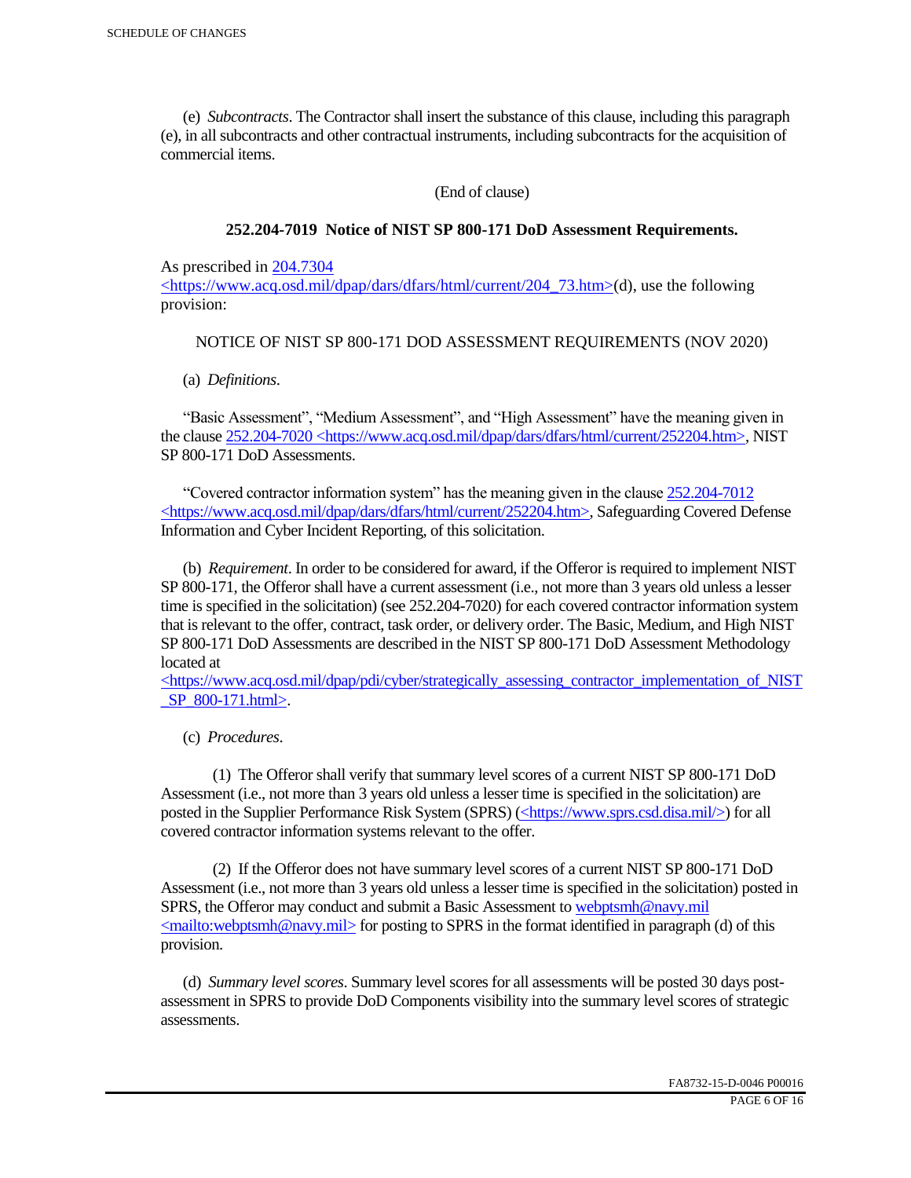(e) *Subcontracts*. The Contractor shall insert the substance of this clause, including this paragraph (e), in all subcontracts and other contractual instruments, including subcontracts for the acquisition of commercial items.

(End of clause)

### **252.204-7019 Notice of NIST SP 800-171 DoD Assessment Requirements.**

As prescribed in 204.7304

 $\langle$ https://www.acq.osd.mil/dpap/dars/dfars/html/current/204 73.htm>(d), use the following provision:

### NOTICE OF NIST SP 800-171 DOD ASSESSMENT REQUIREMENTS (NOV 2020)

(a) *Definitions*.

 "Basic Assessment", "Medium Assessment", and "High Assessment" have the meaning given in the clause 252.204-7020 <https://www.acq.osd.mil/dpap/dars/dfars/html/current/252204.htm>, NIST SP 800-171 DoD Assessments.

 "Covered contractor information system" has the meaning given in the clause 252.204-7012 <https://www.acq.osd.mil/dpap/dars/dfars/html/current/252204.htm>, Safeguarding Covered Defense Information and Cyber Incident Reporting, of this solicitation.

 (b) *Requirement*. In order to be considered for award, if the Offeror is required to implement NIST SP 800-171, the Offeror shall have a current assessment (i.e., not more than 3 years old unless a lesser time is specified in the solicitation) (see 252.204-7020) for each covered contractor information system that is relevant to the offer, contract, task order, or delivery order. The Basic, Medium, and High NIST SP 800-171 DoD Assessments are described in the NIST SP 800-171 DoD Assessment Methodology located at

 $\langle$ https://www.acq.osd.mil/dpap/pdi/cyber/strategically\_assessing\_contractor\_implementation\_of\_NIST \_SP\_800-171.html>.

(c) *Procedures*.

 (1) The Offeror shall verify that summary level scores of a current NIST SP 800-171 DoD Assessment (i.e., not more than 3 years old unless a lesser time is specified in the solicitation) are posted in the Supplier Performance Risk System (SPRS) (<https://www.sprs.csd.disa.mil/>) for all covered contractor information systems relevant to the offer.

 (2) If the Offeror does not have summary level scores of a current NIST SP 800-171 DoD Assessment (i.e., not more than 3 years old unless a lesser time is specified in the solicitation) posted in SPRS, the Offeror may conduct and submit a Basic Assessment to webptsmh@navy.mil  $\leq$ mailto:webptsmh@navy.mil> for posting to SPRS in the format identified in paragraph (d) of this provision.

 (d) *Summary level scores*. Summary level scores for all assessments will be posted 30 days postassessment in SPRS to provide DoD Components visibility into the summary level scores of strategic assessments.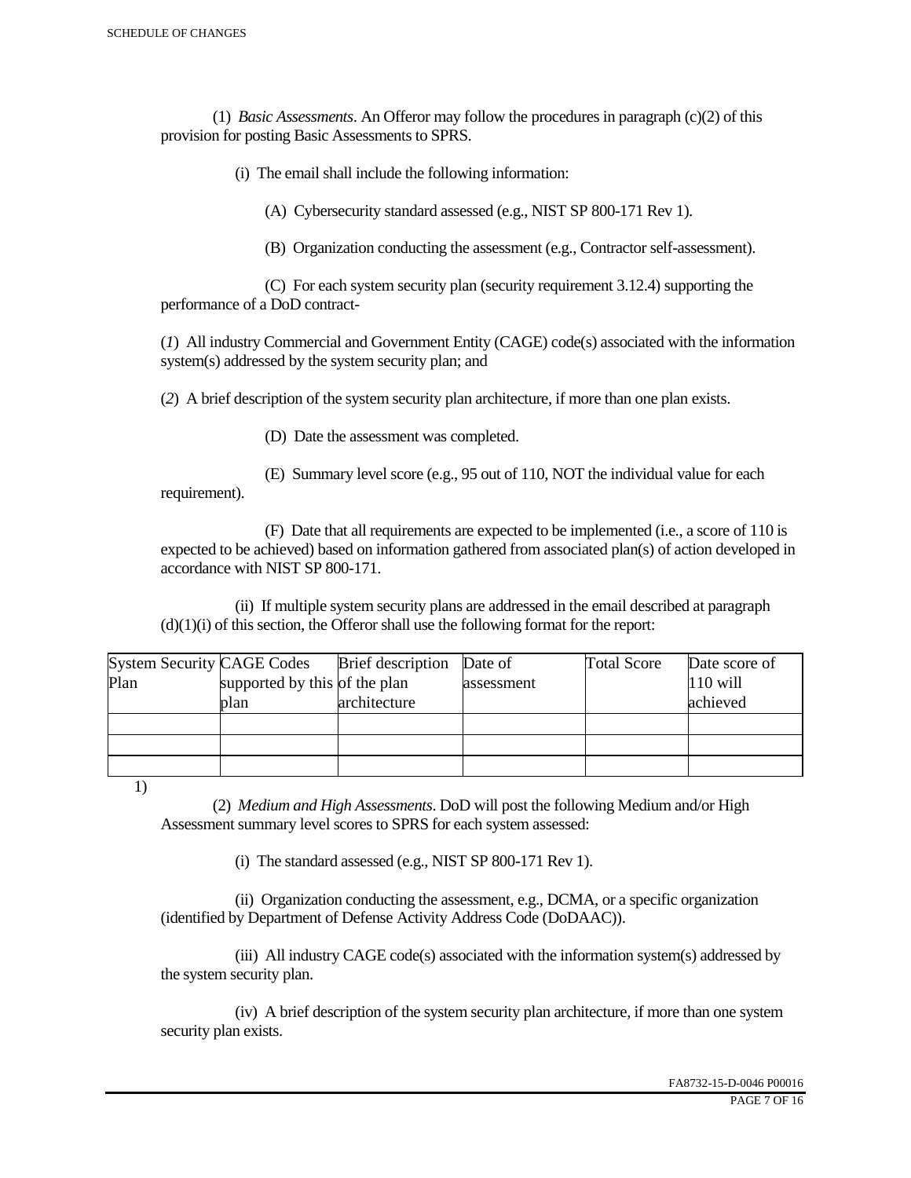(1) *Basic Assessments*. An Offeror may follow the procedures in paragraph (c)(2) of this provision for posting Basic Assessments to SPRS.

(i) The email shall include the following information:

(A) Cybersecurity standard assessed (e.g., NIST SP 800-171 Rev 1).

(B) Organization conducting the assessment (e.g., Contractor self-assessment).

 (C) For each system security plan (security requirement 3.12.4) supporting the performance of a DoD contract-

(*1*) All industry Commercial and Government Entity (CAGE) code(s) associated with the information system(s) addressed by the system security plan; and

(*2*) A brief description of the system security plan architecture, if more than one plan exists.

(D) Date the assessment was completed.

 (E) Summary level score (e.g., 95 out of 110, NOT the individual value for each requirement).

 (F) Date that all requirements are expected to be implemented (i.e., a score of 110 is expected to be achieved) based on information gathered from associated plan(s) of action developed in accordance with NIST SP 800-171.

 (ii) If multiple system security plans are addressed in the email described at paragraph  $(d)(1)(i)$  of this section, the Offeror shall use the following format for the report:

| <b>System Security CAGE Codes</b> |                               | <b>Brief</b> description | Date of    | <b>Total Score</b> | Date score of |
|-----------------------------------|-------------------------------|--------------------------|------------|--------------------|---------------|
| Plan                              | supported by this of the plan |                          | assessment |                    | $110$ will    |
|                                   | plan                          | architecture             |            |                    | achieved      |
|                                   |                               |                          |            |                    |               |
|                                   |                               |                          |            |                    |               |
|                                   |                               |                          |            |                    |               |

1)

 (2) *Medium and High Assessments*. DoD will post the following Medium and/or High Assessment summary level scores to SPRS for each system assessed:

(i) The standard assessed (e.g., NIST SP 800-171 Rev 1).

 (ii) Organization conducting the assessment, e.g., DCMA, or a specific organization (identified by Department of Defense Activity Address Code (DoDAAC)).

 (iii) All industry CAGE code(s) associated with the information system(s) addressed by the system security plan.

 (iv) A brief description of the system security plan architecture, if more than one system security plan exists.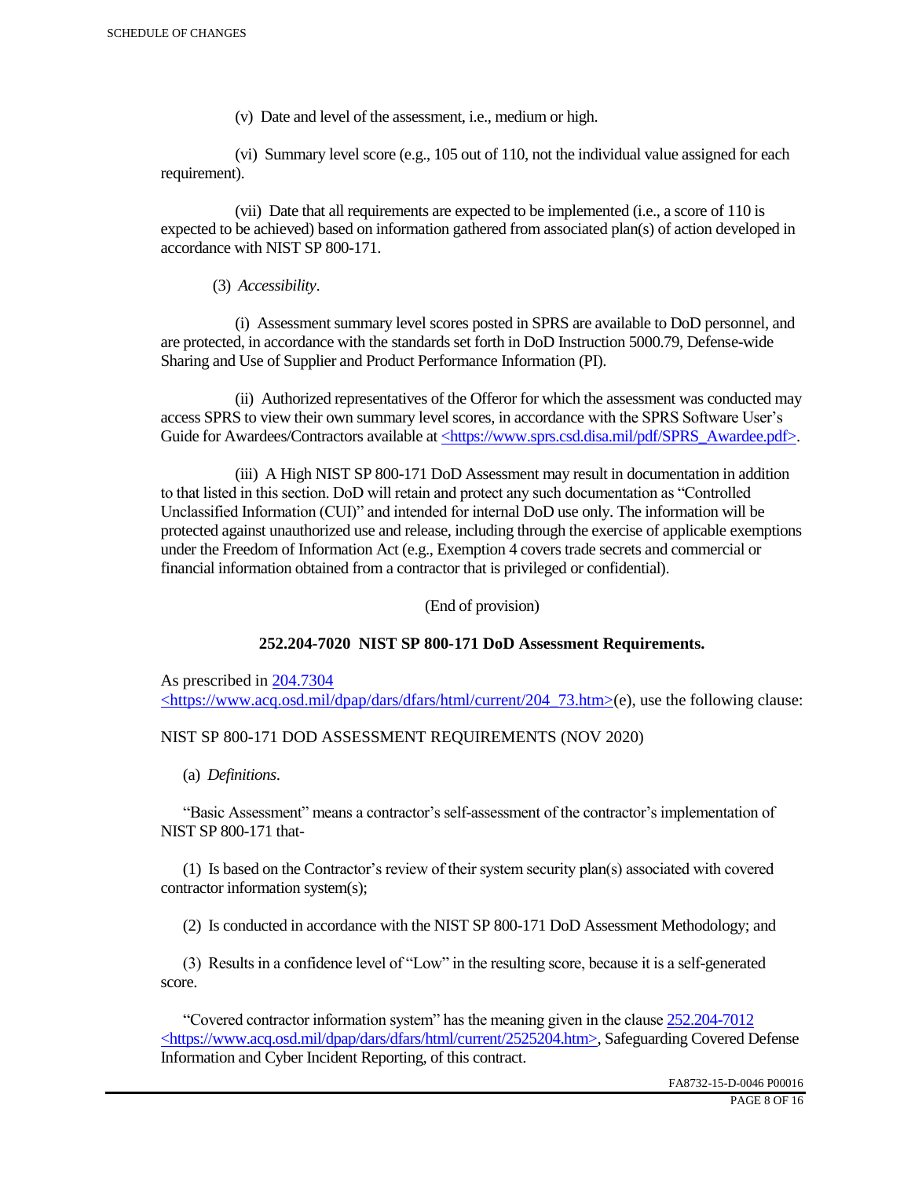(v) Date and level of the assessment, i.e., medium or high.

 (vi) Summary level score (e.g., 105 out of 110, not the individual value assigned for each requirement).

 (vii) Date that all requirements are expected to be implemented (i.e., a score of 110 is expected to be achieved) based on information gathered from associated plan(s) of action developed in accordance with NIST SP 800-171.

(3) *Accessibility*.

 (i) Assessment summary level scores posted in SPRS are available to DoD personnel, and are protected, in accordance with the standards set forth in DoD Instruction 5000.79, Defense-wide Sharing and Use of Supplier and Product Performance Information (PI).

 (ii) Authorized representatives of the Offeror for which the assessment was conducted may access SPRS to view their own summary level scores, in accordance with the SPRS Software User's Guide for Awardees/Contractors available at <https://www.sprs.csd.disa.mil/pdf/SPRS\_Awardee.pdf>.

 (iii) A High NIST SP 800-171 DoD Assessment may result in documentation in addition to that listed in this section. DoD will retain and protect any such documentation as "Controlled Unclassified Information (CUI)" and intended for internal DoD use only. The information will be protected against unauthorized use and release, including through the exercise of applicable exemptions under the Freedom of Information Act (e.g., Exemption 4 covers trade secrets and commercial or financial information obtained from a contractor that is privileged or confidential).

(End of provision)

## **252.204-7020 NIST SP 800-171 DoD Assessment Requirements.**

As prescribed in 204.7304 <https://www.acq.osd.mil/dpap/dars/dfars/html/current/204\_73.htm>(e), use the following clause:

## NIST SP 800-171 DOD ASSESSMENT REQUIREMENTS (NOV 2020)

(a) *Definitions*.

 "Basic Assessment" means a contractor's self-assessment of the contractor's implementation of NIST SP 800-171 that-

 (1) Is based on the Contractor's review of their system security plan(s) associated with covered contractor information system(s);

(2) Is conducted in accordance with the NIST SP 800-171 DoD Assessment Methodology; and

 (3) Results in a confidence level of "Low" in the resulting score, because it is a self-generated score.

 "Covered contractor information system" has the meaning given in the clause 252.204-7012 <https://www.acq.osd.mil/dpap/dars/dfars/html/current/2525204.htm>, Safeguarding Covered Defense Information and Cyber Incident Reporting, of this contract.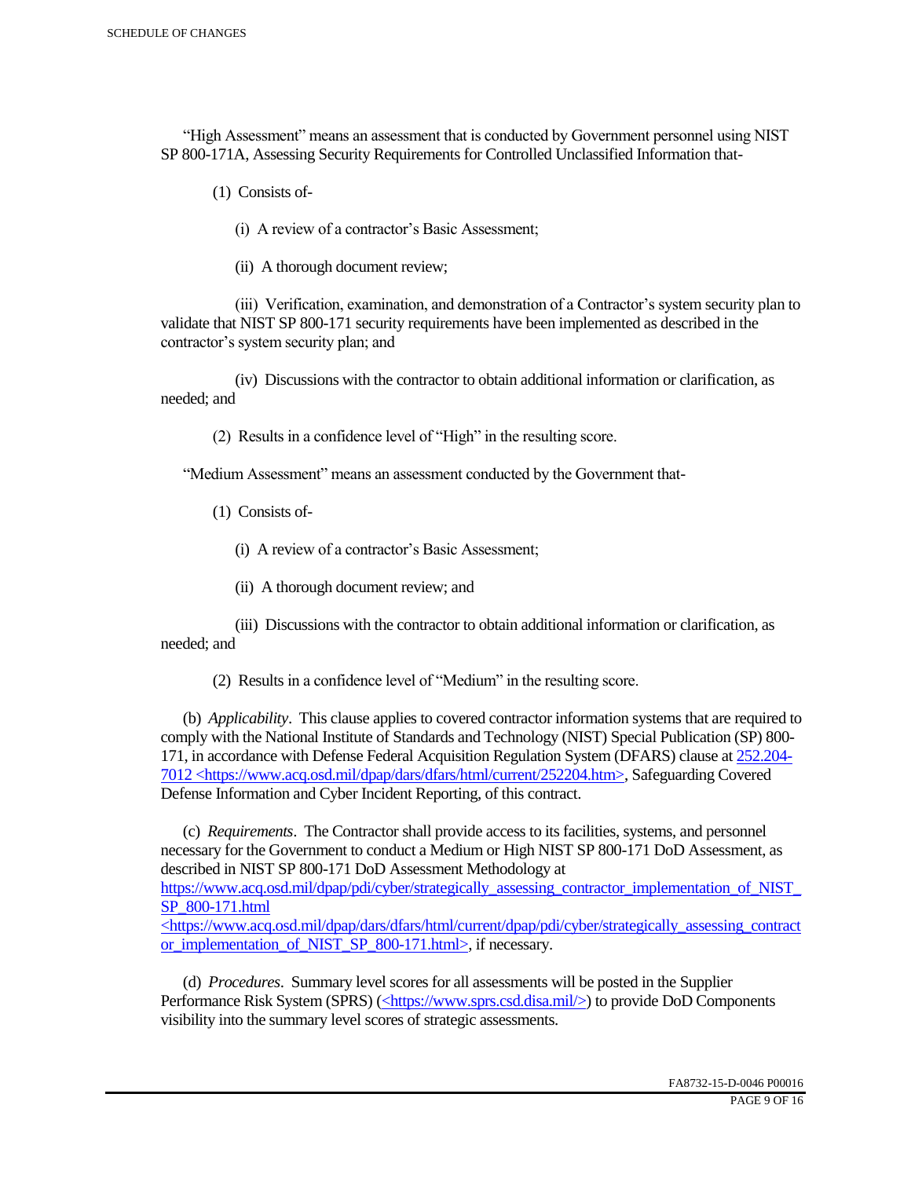"High Assessment" means an assessment that is conducted by Government personnel using NIST SP 800-171A, Assessing Security Requirements for Controlled Unclassified Information that-

(1) Consists of-

(i) A review of a contractor's Basic Assessment;

(ii) A thorough document review;

 (iii) Verification, examination, and demonstration of a Contractor's system security plan to validate that NIST SP 800-171 security requirements have been implemented as described in the contractor's system security plan; and

 (iv) Discussions with the contractor to obtain additional information or clarification, as needed; and

(2) Results in a confidence level of "High" in the resulting score.

"Medium Assessment" means an assessment conducted by the Government that-

(1) Consists of-

(i) A review of a contractor's Basic Assessment;

(ii) A thorough document review; and

 (iii) Discussions with the contractor to obtain additional information or clarification, as needed; and

(2) Results in a confidence level of "Medium" in the resulting score.

 (b) *Applicability*. This clause applies to covered contractor information systems that are required to comply with the National Institute of Standards and Technology (NIST) Special Publication (SP) 800- 171, in accordance with Defense Federal Acquisition Regulation System (DFARS) clause at 252.204- 7012 <https://www.acq.osd.mil/dpap/dars/dfars/html/current/252204.htm>, Safeguarding Covered Defense Information and Cyber Incident Reporting, of this contract.

 (c) *Requirements*. The Contractor shall provide access to its facilities, systems, and personnel necessary for the Government to conduct a Medium or High NIST SP 800-171 DoD Assessment, as described in NIST SP 800-171 DoD Assessment Methodology at https://www.acq.osd.mil/dpap/pdi/cyber/strategically\_assessing\_contractor\_implementation\_of\_NIST\_ SP\_800-171.html <https://www.acq.osd.mil/dpap/dars/dfars/html/current/dpap/pdi/cyber/strategically\_assessing\_contract

or implementation of NIST SP 800-171.html>, if necessary.

 (d) *Procedures*. Summary level scores for all assessments will be posted in the Supplier Performance Risk System (SPRS) (<https://www.sprs.csd.disa.mil/>) to provide DoD Components visibility into the summary level scores of strategic assessments.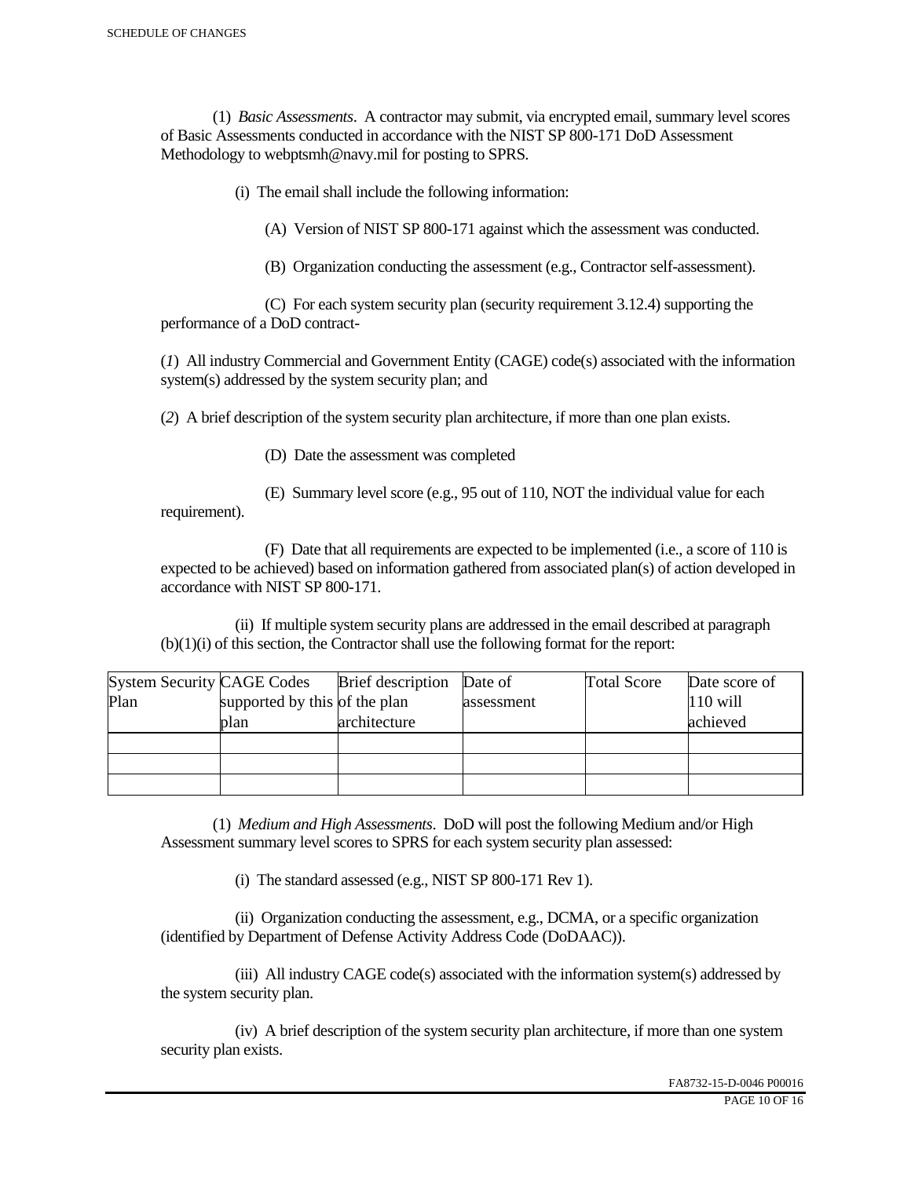(1) *Basic Assessments*. A contractor may submit, via encrypted email, summary level scores of Basic Assessments conducted in accordance with the NIST SP 800-171 DoD Assessment Methodology to webptsmh@navy.mil for posting to SPRS.

(i) The email shall include the following information:

(A) Version of NIST SP 800-171 against which the assessment was conducted.

(B) Organization conducting the assessment (e.g., Contractor self-assessment).

 (C) For each system security plan (security requirement 3.12.4) supporting the performance of a DoD contract-

(*1*) All industry Commercial and Government Entity (CAGE) code(s) associated with the information system(s) addressed by the system security plan; and

(*2*) A brief description of the system security plan architecture, if more than one plan exists.

(D) Date the assessment was completed

requirement).

(E) Summary level score (e.g., 95 out of 110, NOT the individual value for each

 (F) Date that all requirements are expected to be implemented (i.e., a score of 110 is expected to be achieved) based on information gathered from associated plan(s) of action developed in accordance with NIST SP 800-171.

 (ii) If multiple system security plans are addressed in the email described at paragraph (b)(1)(i) of this section, the Contractor shall use the following format for the report:

| <b>System Security CAGE Codes</b> |                               | <b>Brief</b> description | Date of    | <b>Total Score</b> | Date score of |
|-----------------------------------|-------------------------------|--------------------------|------------|--------------------|---------------|
| Plan                              | supported by this of the plan |                          | assessment |                    | $110$ will    |
|                                   | plan                          | architecture             |            |                    | achieved      |
|                                   |                               |                          |            |                    |               |
|                                   |                               |                          |            |                    |               |
|                                   |                               |                          |            |                    |               |

 (1) *Medium and High Assessments*. DoD will post the following Medium and/or High Assessment summary level scores to SPRS for each system security plan assessed:

(i) The standard assessed (e.g., NIST SP 800-171 Rev 1).

 (ii) Organization conducting the assessment, e.g., DCMA, or a specific organization (identified by Department of Defense Activity Address Code (DoDAAC)).

 (iii) All industry CAGE code(s) associated with the information system(s) addressed by the system security plan.

 (iv) A brief description of the system security plan architecture, if more than one system security plan exists.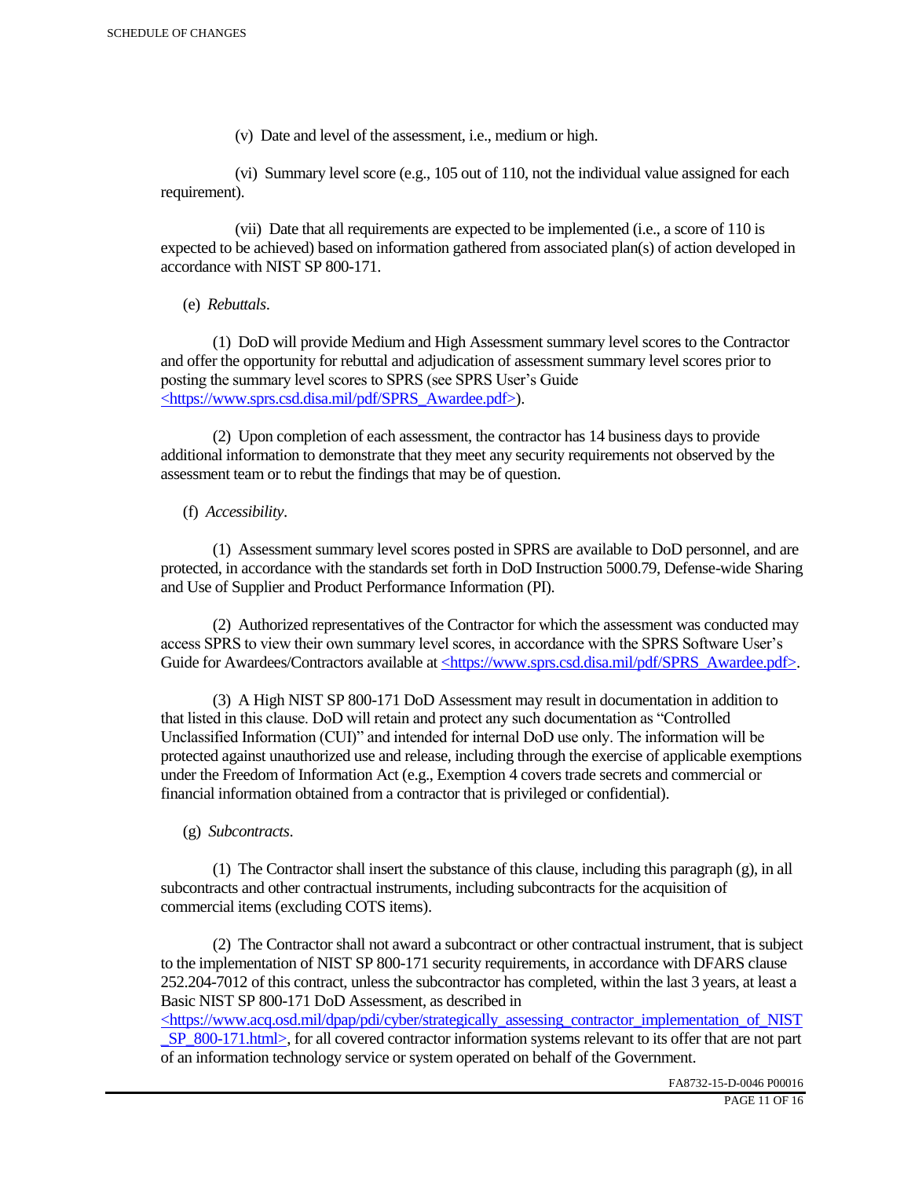(v) Date and level of the assessment, i.e., medium or high.

 (vi) Summary level score (e.g., 105 out of 110, not the individual value assigned for each requirement).

 (vii) Date that all requirements are expected to be implemented (i.e., a score of 110 is expected to be achieved) based on information gathered from associated plan(s) of action developed in accordance with NIST SP 800-171.

(e) *Rebuttals*.

 (1) DoD will provide Medium and High Assessment summary level scores to the Contractor and offer the opportunity for rebuttal and adjudication of assessment summary level scores prior to posting the summary level scores to SPRS (see SPRS User's Guide <https://www.sprs.csd.disa.mil/pdf/SPRS\_Awardee.pdf>).

 (2) Upon completion of each assessment, the contractor has 14 business days to provide additional information to demonstrate that they meet any security requirements not observed by the assessment team or to rebut the findings that may be of question.

## (f) *Accessibility*.

 (1) Assessment summary level scores posted in SPRS are available to DoD personnel, and are protected, in accordance with the standards set forth in DoD Instruction 5000.79, Defense-wide Sharing and Use of Supplier and Product Performance Information (PI).

 (2) Authorized representatives of the Contractor for which the assessment was conducted may access SPRS to view their own summary level scores, in accordance with the SPRS Software User's Guide for Awardees/Contractors available at <https://www.sprs.csd.disa.mil/pdf/SPRS\_Awardee.pdf>.

 (3) A High NIST SP 800-171 DoD Assessment may result in documentation in addition to that listed in this clause. DoD will retain and protect any such documentation as "Controlled Unclassified Information (CUI)" and intended for internal DoD use only. The information will be protected against unauthorized use and release, including through the exercise of applicable exemptions under the Freedom of Information Act (e.g., Exemption 4 covers trade secrets and commercial or financial information obtained from a contractor that is privileged or confidential).

## (g) *Subcontracts*.

(1) The Contractor shall insert the substance of this clause, including this paragraph  $(g)$ , in all subcontracts and other contractual instruments, including subcontracts for the acquisition of commercial items (excluding COTS items).

 (2) The Contractor shall not award a subcontract or other contractual instrument, that is subject to the implementation of NIST SP 800-171 security requirements, in accordance with DFARS clause 252.204-7012 of this contract, unless the subcontractor has completed, within the last 3 years, at least a Basic NIST SP 800-171 DoD Assessment, as described in

 $\langle$ https://www.acq.osd.mil/dpap/pdi/cyber/strategically\_assessing\_contractor\_implementation\_of\_NIST SP\_800-171.html>, for all covered contractor information systems relevant to its offer that are not part of an information technology service or system operated on behalf of the Government.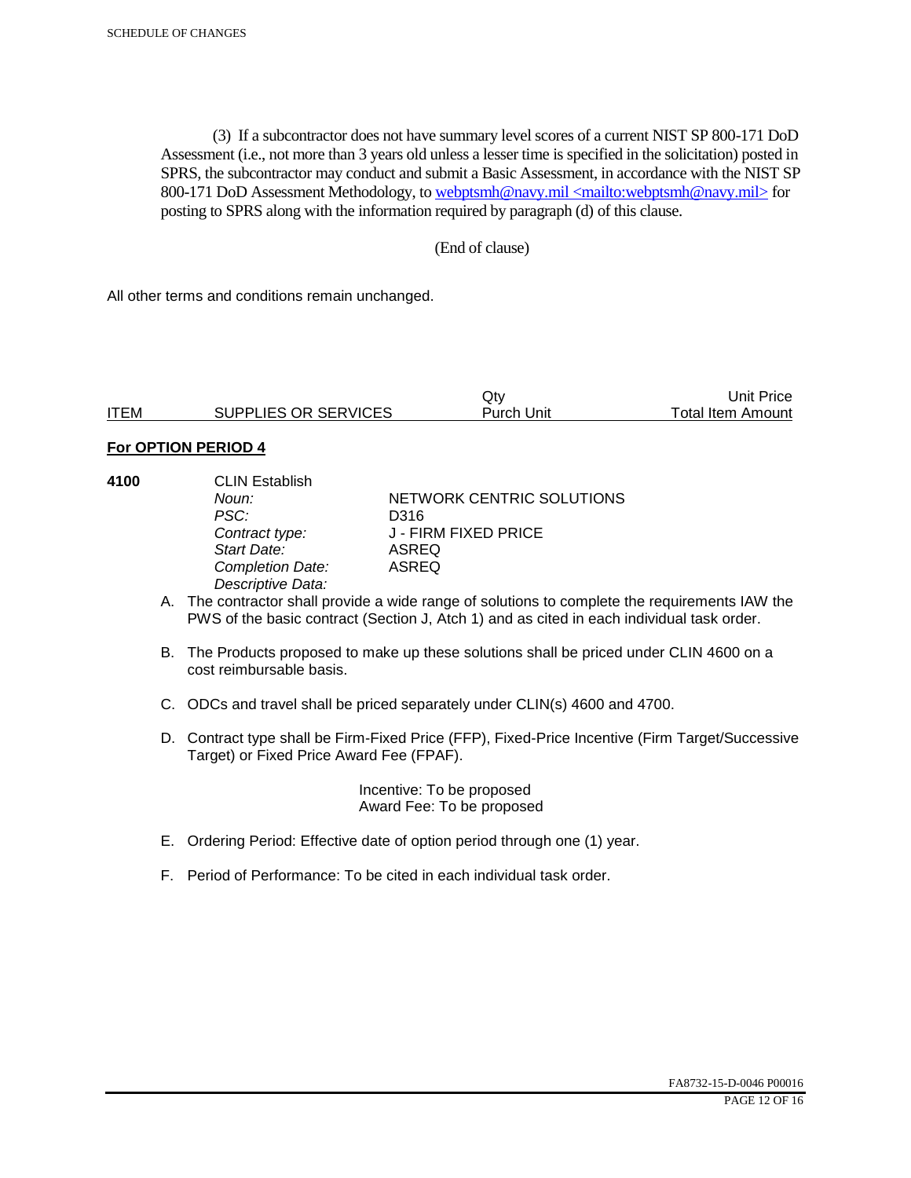(3) If a subcontractor does not have summary level scores of a current NIST SP 800-171 DoD Assessment (i.e., not more than 3 years old unless a lesser time is specified in the solicitation) posted in SPRS, the subcontractor may conduct and submit a Basic Assessment, in accordance with the NIST SP 800-171 DoD Assessment Methodology, to webptsmh@navy.mil <mailto:webptsmh@navy.mil> for posting to SPRS along with the information required by paragraph (d) of this clause.

### (End of clause)

All other terms and conditions remain unchanged.

|             |                      | Jt∨               | 'Jnit Price              |
|-------------|----------------------|-------------------|--------------------------|
| <b>ITEM</b> | SUPPLIES OR SERVICES | <b>Purch Unit</b> | <b>Total Item Amount</b> |

#### **For OPTION PERIOD 4**

| 4100 | <b>CLIN Establish</b> |                           |  |
|------|-----------------------|---------------------------|--|
|      | Noun:                 | NETWORK CENTRIC SOLUTIONS |  |
|      | PSC:                  | D316                      |  |
|      | Contract type:        | J - FIRM FIXED PRICE      |  |
|      | Start Date:           | ASREQ                     |  |
|      | Completion Date:      | <b>ASREQ</b>              |  |
|      | Descriptive Data:     |                           |  |
|      |                       |                           |  |

- A. The contractor shall provide a wide range of solutions to complete the requirements IAW the PWS of the basic contract (Section J, Atch 1) and as cited in each individual task order.
- B. The Products proposed to make up these solutions shall be priced under CLIN 4600 on a cost reimbursable basis.
- C. ODCs and travel shall be priced separately under CLIN(s) 4600 and 4700.
- D. Contract type shall be Firm-Fixed Price (FFP), Fixed-Price Incentive (Firm Target/Successive Target) or Fixed Price Award Fee (FPAF).

 Incentive: To be proposed Award Fee: To be proposed

- E. Ordering Period: Effective date of option period through one (1) year.
- F. Period of Performance: To be cited in each individual task order.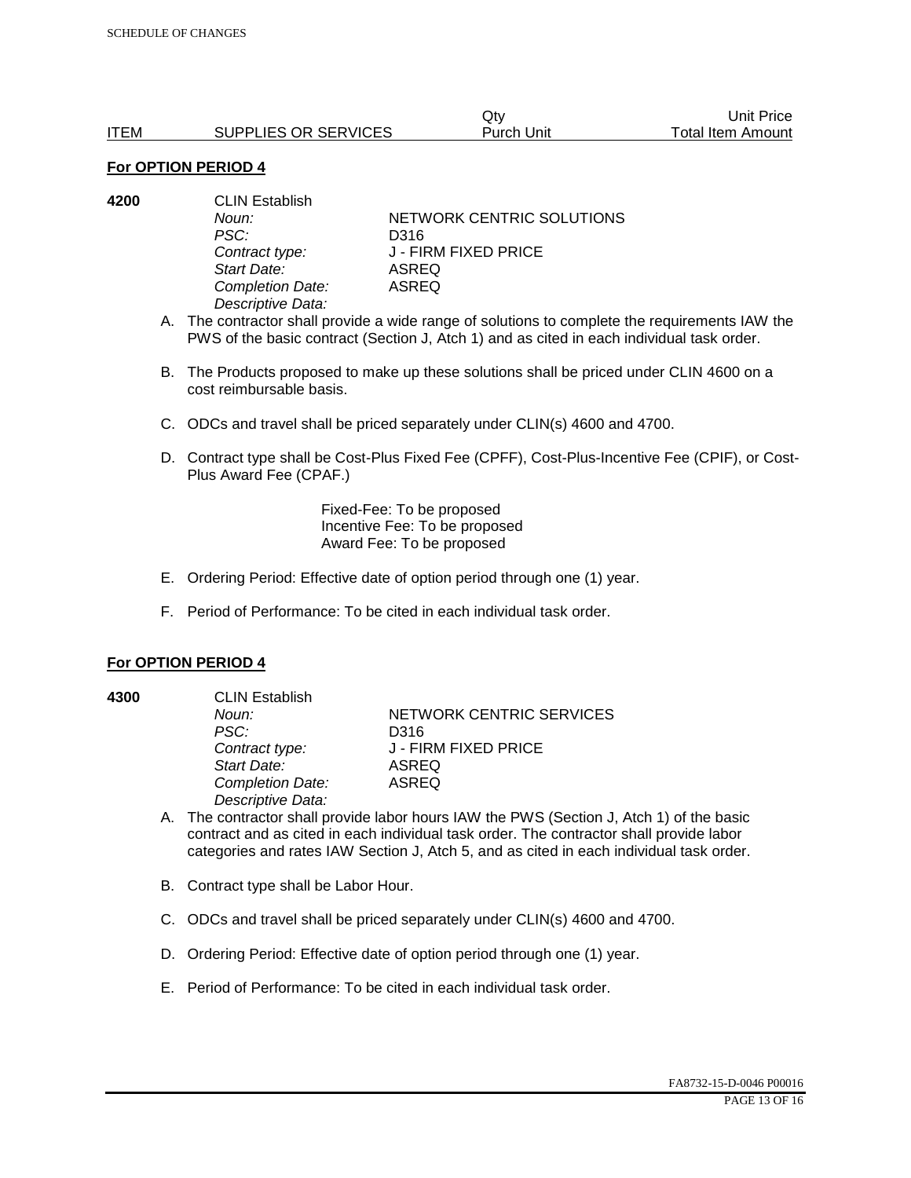|             |                      | Qtv        | Unit Price        |
|-------------|----------------------|------------|-------------------|
| <b>ITEM</b> | SUPPLIES OR SERVICES | Purch Unit | Total Item Amount |

| 4200 | <b>CLIN Establish</b> |                           |  |
|------|-----------------------|---------------------------|--|
|      | Noun:                 | NETWORK CENTRIC SOLUTIONS |  |
|      | PSC:                  | D316                      |  |
|      | Contract type:        | J - FIRM FIXED PRICE      |  |
|      | Start Date:           | ASREQ                     |  |
|      | Completion Date:      | ASREQ                     |  |
|      | Descriptive Data:     |                           |  |

A. The contractor shall provide a wide range of solutions to complete the requirements IAW the PWS of the basic contract (Section J, Atch 1) and as cited in each individual task order.

- B. The Products proposed to make up these solutions shall be priced under CLIN 4600 on a cost reimbursable basis.
- C. ODCs and travel shall be priced separately under CLIN(s) 4600 and 4700.
- D. Contract type shall be Cost-Plus Fixed Fee (CPFF), Cost-Plus-Incentive Fee (CPIF), or Cost-Plus Award Fee (CPAF.)

Fixed-Fee: To be proposed Incentive Fee: To be proposed Award Fee: To be proposed

- E. Ordering Period: Effective date of option period through one (1) year.
- F. Period of Performance: To be cited in each individual task order.

#### **For OPTION PERIOD 4**

**4300** CLIN Establish *PSC:* D316 *Start Date:* ASREQ *Completion Date:* ASREQ *Descriptive Data:* 

**Noun: NETWORK CENTRIC SERVICES** *Contract type:* J - FIRM FIXED PRICE

- A. The contractor shall provide labor hours IAW the PWS (Section J, Atch 1) of the basic contract and as cited in each individual task order. The contractor shall provide labor categories and rates IAW Section J, Atch 5, and as cited in each individual task order.
- B. Contract type shall be Labor Hour.
- C. ODCs and travel shall be priced separately under CLIN(s) 4600 and 4700.
- D. Ordering Period: Effective date of option period through one (1) year.
- E. Period of Performance: To be cited in each individual task order.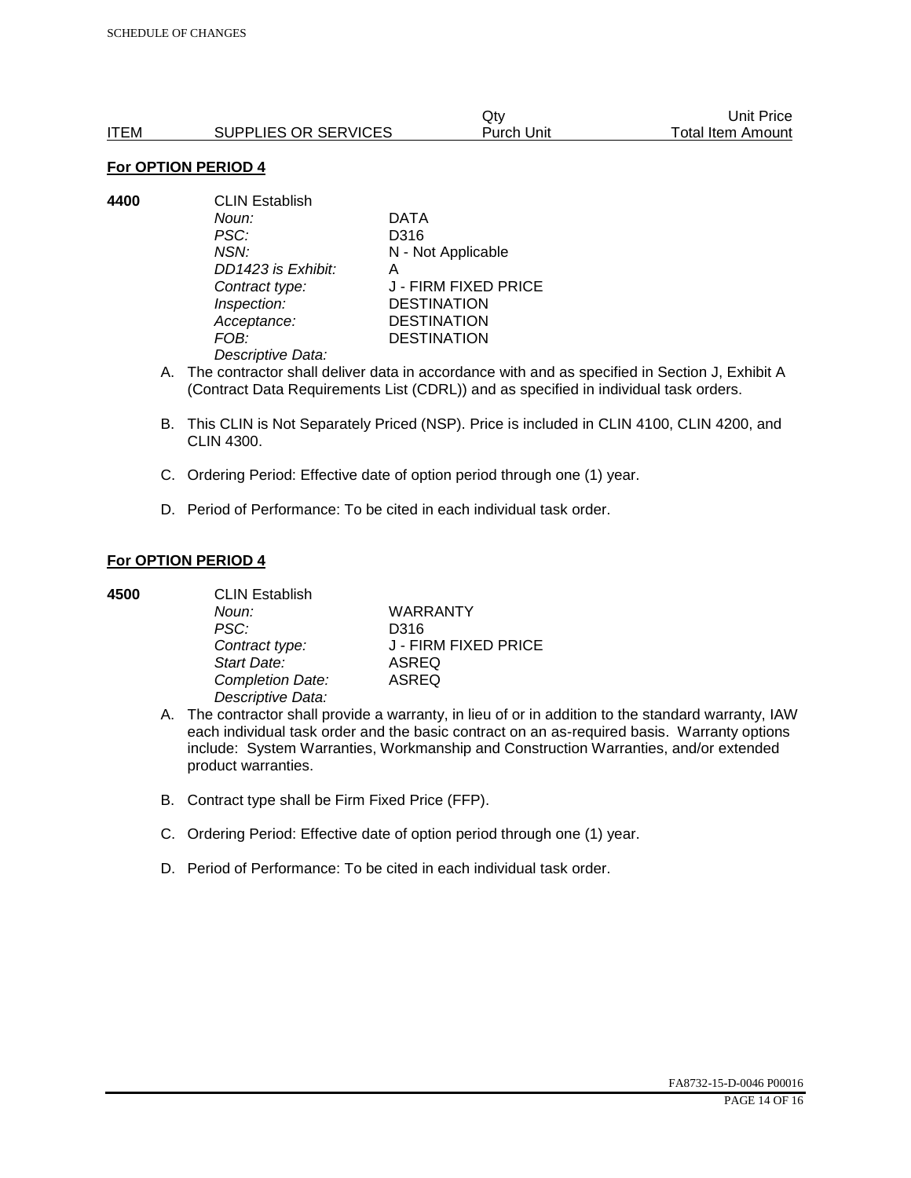|      |                      | Qtv        | Unit Price        |
|------|----------------------|------------|-------------------|
| ITEM | SUPPLIES OR SERVICES | Purch Unit | Total Item Amount |

**4400** CLIN Establish *Noun:* DATA *PSC:* D316 *NSN:* N - Not Applicable *DD1423 is Exhibit:* A *Contract type:* J - FIRM FIXED PRICE *Inspection:* DESTINATION *Acceptance:* DESTINATION *FOB:* DESTINATION *Descriptive Data:* 

- A. The contractor shall deliver data in accordance with and as specified in Section J, Exhibit A (Contract Data Requirements List (CDRL)) and as specified in individual task orders.
- B. This CLIN is Not Separately Priced (NSP). Price is included in CLIN 4100, CLIN 4200, and CLIN 4300.
- C. Ordering Period: Effective date of option period through one (1) year.
- D. Period of Performance: To be cited in each individual task order.

### **For OPTION PERIOD 4**

**4500** CLIN Establish

| -------------     |                      |
|-------------------|----------------------|
| Noun:             | <b>WARRANTY</b>      |
| PSC:              | D316                 |
| Contract type:    | J - FIRM FIXED PRICE |
| Start Date:       | ASREQ                |
| Completion Date:  | ASREQ                |
| Descriptive Data: |                      |
|                   |                      |

- A. The contractor shall provide a warranty, in lieu of or in addition to the standard warranty, IAW each individual task order and the basic contract on an as-required basis. Warranty options include: System Warranties, Workmanship and Construction Warranties, and/or extended product warranties.
- B. Contract type shall be Firm Fixed Price (FFP).
- C. Ordering Period: Effective date of option period through one (1) year.
- D. Period of Performance: To be cited in each individual task order.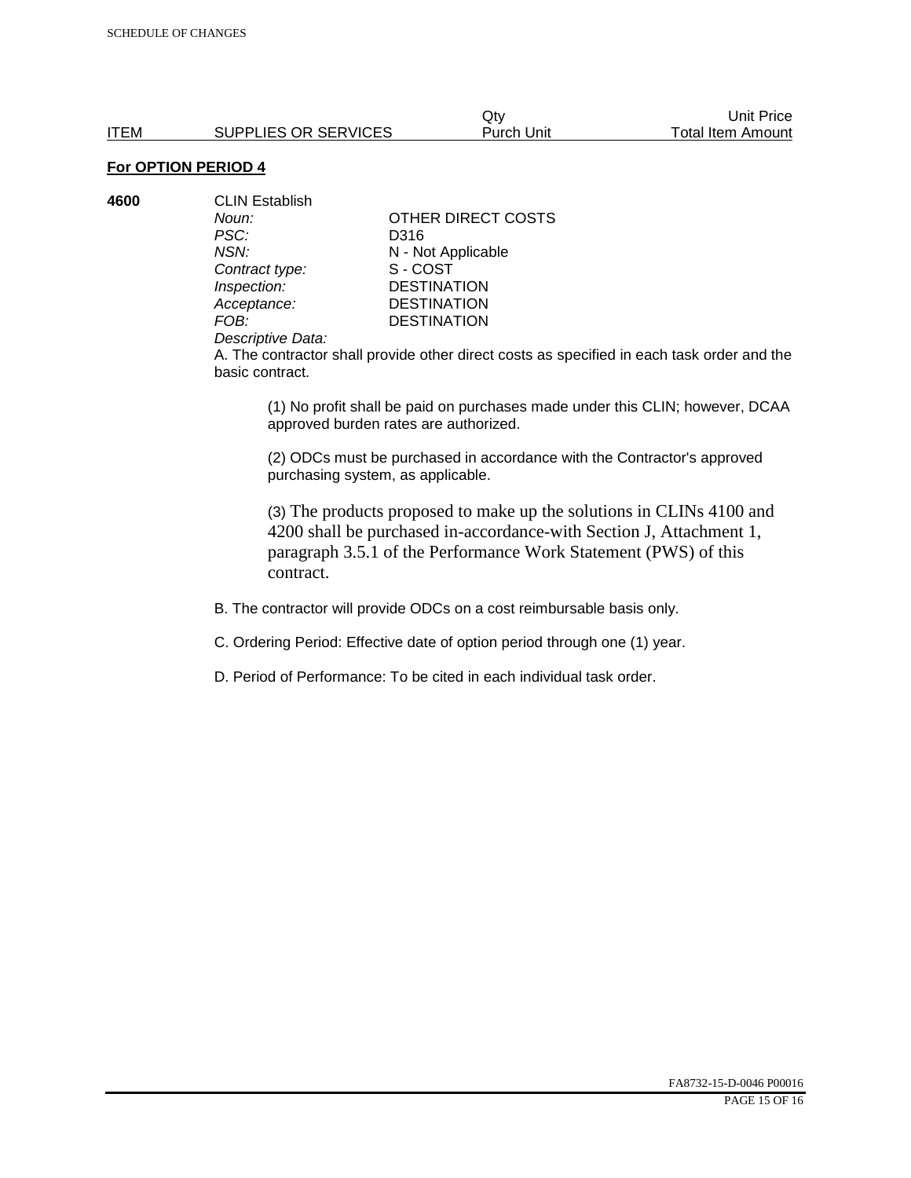**4600** CLIN Establish *PSC:* D316 **Contract type:** *Inspection:* DESTINATION<br> *Acceptance:* DESTINATION *Acceptance:* DESTINATION<br>FOB: DESTINATION

*Noun:* **CONTACT OTHER DIRECT COSTS** *NSN:* **N** - Not Applicable<br>
Contract type: S - COST **DESTINATION** 

#### *Descriptive Data:*

A. The contractor shall provide other direct costs as specified in each task order and the basic contract.

(1) No profit shall be paid on purchases made under this CLIN; however, DCAA approved burden rates are authorized.

(2) ODCs must be purchased in accordance with the Contractor's approved purchasing system, as applicable.

(3) The products proposed to make up the solutions in CLINs 4100 and 4200 shall be purchased in-accordance-with Section J, Attachment 1, paragraph 3.5.1 of the Performance Work Statement (PWS) of this contract.

B. The contractor will provide ODCs on a cost reimbursable basis only.

C. Ordering Period: Effective date of option period through one (1) year.

D. Period of Performance: To be cited in each individual task order.